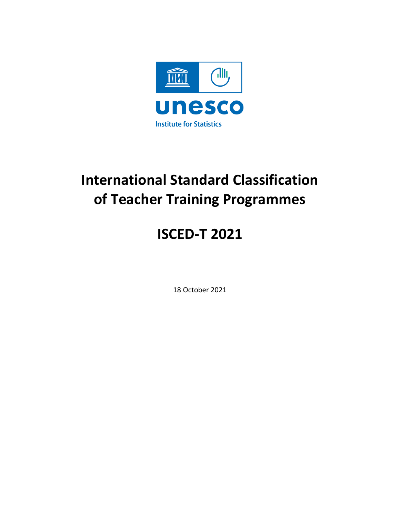

# **International Standard Classification of Teacher Training Programmes**

# **ISCED-T 2021**

18 October 2021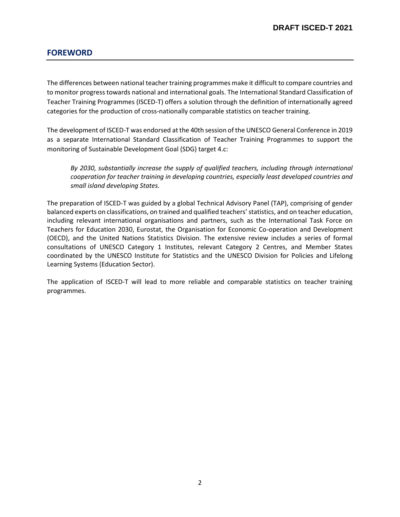## **FOREWORD**

The differences between national teacher training programmes make it difficult to compare countries and to monitor progress towards national and international goals. The International Standard Classification of Teacher Training Programmes (ISCED-T) offers a solution through the definition of internationally agreed categories for the production of cross-nationally comparable statistics on teacher training.

The development of ISCED-T was endorsed at the 40th session of the UNESCO General Conference in 2019 as a separate International Standard Classification of Teacher Training Programmes to support the monitoring of Sustainable Development Goal (SDG) target 4.c:

*By 2030, substantially increase the supply of qualified teachers, including through international cooperation for teacher training in developing countries, especially least developed countries and small island developing States.*

The preparation of ISCED-T was guided by a global Technical Advisory Panel (TAP), comprising of gender balanced experts on classifications, on trained and qualified teachers'statistics, and on teacher education, including relevant international organisations and partners, such as the International Task Force on Teachers for Education 2030, Eurostat, the Organisation for Economic Co-operation and Development (OECD), and the United Nations Statistics Division. The extensive review includes a series of formal consultations of UNESCO Category 1 Institutes, relevant Category 2 Centres, and Member States coordinated by the UNESCO Institute for Statistics and the UNESCO Division for Policies and Lifelong Learning Systems (Education Sector).

The application of ISCED-T will lead to more reliable and comparable statistics on teacher training programmes.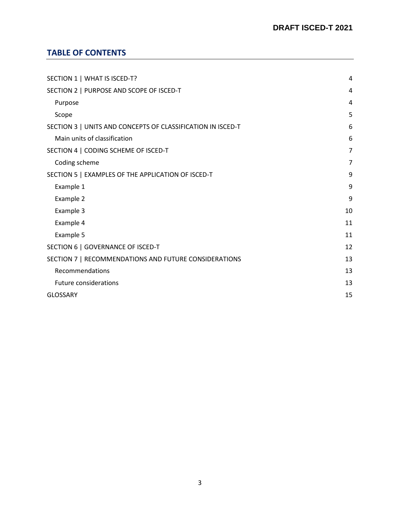## **TABLE OF CONTENTS**

| SECTION 1   WHAT IS ISCED-T?                                |    |
|-------------------------------------------------------------|----|
| SECTION 2   PURPOSE AND SCOPE OF ISCED-T                    |    |
| Purpose                                                     | 4  |
| Scope                                                       | 5  |
| SECTION 3   UNITS AND CONCEPTS OF CLASSIFICATION IN ISCED-T | 6  |
| Main units of classification                                | 6  |
| SECTION 4   CODING SCHEME OF ISCED-T                        | 7  |
| Coding scheme                                               | 7  |
| SECTION 5   EXAMPLES OF THE APPLICATION OF ISCED-T          | 9  |
| Example 1                                                   | 9  |
| Example 2                                                   | 9  |
| Example 3                                                   | 10 |
| Example 4                                                   | 11 |
| Example 5                                                   | 11 |
| SECTION 6   GOVERNANCE OF ISCED-T                           | 12 |
| SECTION 7   RECOMMENDATIONS AND FUTURE CONSIDERATIONS       | 13 |
| Recommendations                                             | 13 |
| <b>Future considerations</b>                                | 13 |
| <b>GLOSSARY</b>                                             | 15 |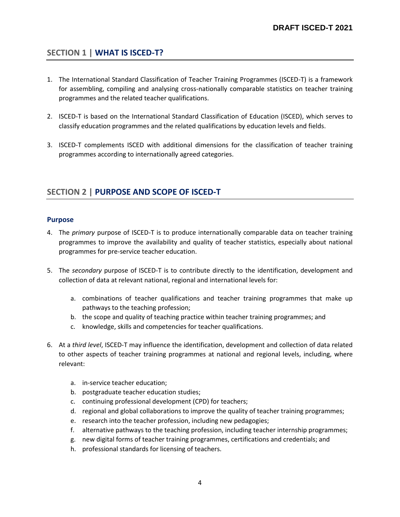## <span id="page-3-0"></span>**SECTION 1 | WHAT IS ISCED-T?**

- 1. The International Standard Classification of Teacher Training Programmes (ISCED-T) is a framework for assembling, compiling and analysing cross-nationally comparable statistics on teacher training programmes and the related teacher qualifications.
- 2. ISCED-T is based on the International Standard Classification of Education (ISCED), which serves to classify education programmes and the related qualifications by education levels and fields.
- 3. ISCED-T complements ISCED with additional dimensions for the classification of teacher training programmes according to internationally agreed categories.

## <span id="page-3-1"></span>**SECTION 2 | PURPOSE AND SCOPE OF ISCED-T**

#### <span id="page-3-2"></span>**Purpose**

- 4. The *primary* purpose of ISCED-T is to produce internationally comparable data on teacher training programmes to improve the availability and quality of teacher statistics, especially about national programmes for pre-service teacher education.
- 5. The *secondary* purpose of ISCED-T is to contribute directly to the identification, development and collection of data at relevant national, regional and international levels for:
	- a. combinations of teacher qualifications and teacher training programmes that make up pathways to the teaching profession;
	- b. the scope and quality of teaching practice within teacher training programmes; and
	- c. knowledge, skills and competencies for teacher qualifications.
- 6. At a *third level*, ISCED-T may influence the identification, development and collection of data related to other aspects of teacher training programmes at national and regional levels, including, where relevant:
	- a. in-service teacher education;
	- b. postgraduate teacher education studies;
	- c. continuing professional development (CPD) for teachers;
	- d. regional and global collaborations to improve the quality of teacher training programmes;
	- e. research into the teacher profession, including new pedagogies;
	- f. alternative pathways to the teaching profession, including teacher internship programmes;
	- g. new digital forms of teacher training programmes, certifications and credentials; and
	- h. professional standards for licensing of teachers.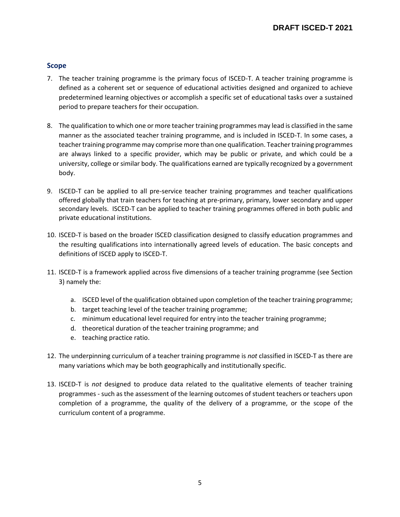#### <span id="page-4-0"></span>**Scope**

- 7. The teacher training programme is the primary focus of ISCED-T. A teacher training programme is defined as a coherent set or sequence of educational activities designed and organized to achieve predetermined learning objectives or accomplish a specific set of educational tasks over a sustained period to prepare teachers for their occupation.
- 8. The qualification to which one or more teacher training programmes may lead is classified in the same manner as the associated teacher training programme, and is included in ISCED-T. In some cases, a teacher training programme may comprise more than one qualification. Teacher training programmes are always linked to a specific provider, which may be public or private, and which could be a university, college or similar body. The qualifications earned are typically recognized by a government body.
- 9. ISCED-T can be applied to all pre-service teacher training programmes and teacher qualifications offered globally that train teachers for teaching at pre-primary, primary, lower secondary and upper secondary levels. ISCED-T can be applied to teacher training programmes offered in both public and private educational institutions.
- 10. ISCED-T is based on the broader ISCED classification designed to classify education programmes and the resulting qualifications into internationally agreed levels of education. The basic concepts and definitions of ISCED apply to ISCED-T.
- 11. ISCED-T is a framework applied across five dimensions of a teacher training programme (see Section 3) namely the:
	- a. ISCED level of the qualification obtained upon completion of the teacher training programme;
	- b. target teaching level of the teacher training programme;
	- c. minimum educational level required for entry into the teacher training programme;
	- d. theoretical duration of the teacher training programme; and
	- e. teaching practice ratio.
- 12. The underpinning curriculum of a teacher training programme is *not* classified in ISCED-T as there are many variations which may be both geographically and institutionally specific.
- 13. ISCED-T is *not* designed to produce data related to the qualitative elements of teacher training programmes - such as the assessment of the learning outcomes of student teachers or teachers upon completion of a programme, the quality of the delivery of a programme, or the scope of the curriculum content of a programme.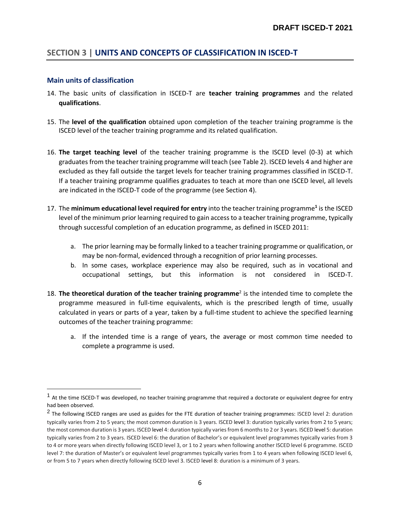## <span id="page-5-0"></span>**SECTION 3 | UNITS AND CONCEPTS OF CLASSIFICATION IN ISCED-T**

#### <span id="page-5-1"></span>**Main units of classification**

 $\overline{a}$ 

- 14. The basic units of classification in ISCED-T are **teacher training programmes** and the related **qualifications**.
- 15. The **level of the qualification** obtained upon completion of the teacher training programme is the ISCED level of the teacher training programme and its related qualification.
- 16. **The target teaching level** of the teacher training programme is the ISCED level (0-3) at which graduates from the teacher training programme will teach (see Table 2). ISCED levels 4 and higher are excluded as they fall outside the target levels for teacher training programmes classified in ISCED-T. If a teacher training programme qualifies graduates to teach at more than one ISCED level, all levels are indicated in the ISCED-T code of the programme (see Section 4).
- 17. The **minimum educational level required for entry** into the teacher training programme**<sup>1</sup>** is the ISCED level of the minimum prior learning required to gain access to a teacher training programme, typically through successful completion of an education programme, as defined in ISCED 2011:
	- a. The prior learning may be formally linked to a teacher training programme or qualification, or may be non-formal, evidenced through a recognition of prior learning processes.
	- b. In some cases, workplace experience may also be required, such as in vocational and occupational settings, but this information is not considered in ISCED-T.
- 18. The theoretical duration of the teacher training programme<sup>2</sup> is the intended time to complete the programme measured in full-time equivalents, which is the prescribed length of time, usually calculated in years or parts of a year, taken by a full-time student to achieve the specified learning outcomes of the teacher training programme:
	- a. If the intended time is a range of years, the average or most common time needed to complete a programme is used.

<sup>&</sup>lt;sup>1</sup> At the time ISCED-T was developed, no teacher training programme that required a doctorate or equivalent degree for entry had been observed.

<sup>&</sup>lt;sup>2</sup> The following ISCED ranges are used as guides for the FTE duration of teacher training programmes: ISCED level 2: duration typically varies from 2 to 5 years; the most common duration is 3 years. ISCED level 3: duration typically varies from 2 to 5 years; the most common duration is 3 years. ISCED level 4: duration typically varies from 6 months to 2 or 3 years. ISCED level 5: duration typically varies from 2 to 3 years. ISCED level 6: the duration of Bachelor's or equivalent level programmes typically varies from 3 to 4 or more years when directly following ISCED level 3, or 1 to 2 years when following another ISCED level 6 programme. ISCED level 7: the duration of Master's or equivalent level programmes typically varies from 1 to 4 years when following ISCED level 6, or from 5 to 7 years when directly following ISCED level 3. ISCED level 8: duration is a minimum of 3 years.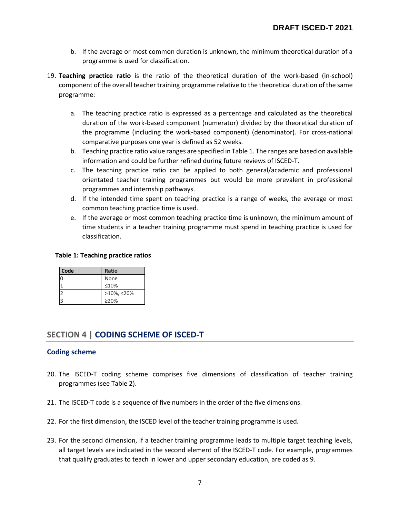- b. If the average or most common duration is unknown, the minimum theoretical duration of a programme is used for classification.
- 19. **Teaching practice ratio** is the ratio of the theoretical duration of the work-based (in-school) component of the overall teacher training programme relative to the theoretical duration of the same programme:
	- a. The teaching practice ratio is expressed as a percentage and calculated as the theoretical duration of the work-based component (numerator) divided by the theoretical duration of the programme (including the work-based component) (denominator). For cross-national comparative purposes one year is defined as 52 weeks.
	- b. Teaching practice ratio value ranges are specified in Table 1. The ranges are based on available information and could be further refined during future reviews of ISCED-T.
	- c. The teaching practice ratio can be applied to both general/academic and professional orientated teacher training programmes but would be more prevalent in professional programmes and internship pathways.
	- d. If the intended time spent on teaching practice is a range of weeks, the average or most common teaching practice time is used.
	- e. If the average or most common teaching practice time is unknown, the minimum amount of time students in a teacher training programme must spend in teaching practice is used for classification.

#### **Table 1: Teaching practice ratios**

| Code | <b>Ratio</b>   |
|------|----------------|
|      | None           |
|      | ≤10%           |
|      | $>10\%$ , <20% |
|      | $\geq$ 20%     |

## <span id="page-6-0"></span>**SECTION 4 | CODING SCHEME OF ISCED-T**

#### <span id="page-6-1"></span>**Coding scheme**

- 20. The ISCED-T coding scheme comprises five dimensions of classification of teacher training programmes (see Table 2).
- 21. The ISCED-T code is a sequence of five numbers in the order of the five dimensions.
- 22. For the first dimension, the ISCED level of the teacher training programme is used.
- 23. For the second dimension, if a teacher training programme leads to multiple target teaching levels, all target levels are indicated in the second element of the ISCED-T code. For example, programmes that qualify graduates to teach in lower and upper secondary education, are coded as 9.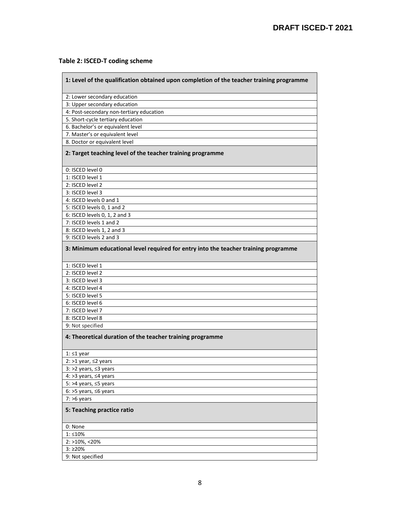#### **Table 2: ISCED-T coding scheme**

<u> Elizabeth Change</u>

| 1: Level of the qualification obtained upon completion of the teacher training programme |
|------------------------------------------------------------------------------------------|
| 2: Lower secondary education                                                             |
| 3: Upper secondary education                                                             |
| 4: Post-secondary non-tertiary education                                                 |
| 5. Short-cycle tertiary education                                                        |
| 6. Bachelor's or equivalent level                                                        |
| 7. Master's or equivalent level                                                          |
| 8. Doctor or equivalent level                                                            |
| 2: Target teaching level of the teacher training programme                               |
| 0: ISCED level 0                                                                         |
| 1: ISCED level 1                                                                         |
| 2: ISCED level 2                                                                         |
| 3: ISCED level 3                                                                         |
| 4: ISCED levels 0 and 1                                                                  |
| 5: ISCED levels 0, 1 and 2                                                               |
| 6: ISCED levels 0, 1, 2 and 3                                                            |
| 7: ISCED levels 1 and 2                                                                  |
| 8: ISCED levels 1, 2 and 3                                                               |
| 9: ISCED levels 2 and 3                                                                  |
| 3: Minimum educational level required for entry into the teacher training programme      |
| 1: ISCED level 1                                                                         |
| 2: ISCED level 2                                                                         |
| 3: ISCED level 3                                                                         |
| 4: ISCED level 4                                                                         |
| 5: ISCED level 5                                                                         |
| 6: ISCED level 6                                                                         |
| 7: ISCED level 7                                                                         |
| 8: ISCED level 8                                                                         |
| 9: Not specified                                                                         |
| 4: Theoretical duration of the teacher training programme                                |
| 1: ≤1 year                                                                               |
| 2: >1 year, $\leq$ 2 years                                                               |
| 3: >2 years, ≤3 years                                                                    |
| 4: >3 years, ≤4 years                                                                    |
| 5: >4 years, ≤5 years                                                                    |
| 6: >5 years, $\leq 6$ years                                                              |
| $7:$ >6 years                                                                            |
| 5: Teaching practice ratio                                                               |
| 0: None                                                                                  |
| $1:510\%$                                                                                |
| 2: >10%, <20%                                                                            |
| 3:220%                                                                                   |
| 9: Not specified                                                                         |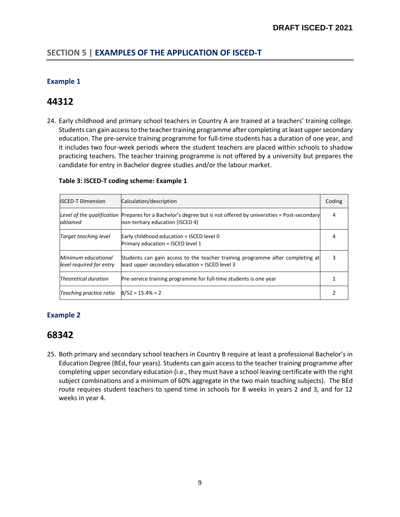## <span id="page-8-0"></span>**SECTION 5 | EXAMPLES OF THE APPLICATION OF ISCED-T**

#### <span id="page-8-1"></span>**Example 1**

# **44312**

24. Early childhood and primary school teachers in Country A are trained at a teachers' training college. Students can gain access to the teacher training programme after completing at least upper secondary education. The pre-service training programme for full-time students has a duration of one year, and it includes two four-week periods where the student teachers are placed within schools to shadow practicing teachers. The teacher training programme is not offered by a university but prepares the candidate for entry in Bachelor degree studies and/or the labour market.

| <b>ISCED-T Dimension</b>                        | Calculation/description                                                                                                                             | Coding |
|-------------------------------------------------|-----------------------------------------------------------------------------------------------------------------------------------------------------|--------|
| obtained                                        | Level of the qualification Prepares for a Bachelor's degree but is not offered by universities = Post-secondary<br>non-tertiary education (ISCED 4) | 4      |
| Target teaching level                           | Early childhood education = ISCED level 0<br>Primary education = ISCED level 1                                                                      | 4      |
| Minimum educational<br>level required for entry | Students can gain access to the teacher training programme after completing at<br>least upper secondary education = ISCED level 3                   |        |
| <b>Theoretical duration</b>                     | Pre-service training programme for full-time students is one year                                                                                   |        |
| Teaching practice ratio                         | $8/52 = 15.4\% = 2$                                                                                                                                 |        |

#### <span id="page-8-2"></span>**Example 2**

## **68342**

25. Both primary and secondary school teachers in Country B require at least a professional Bachelor's in Education Degree (BEd, four years). Students can gain access to the teacher training programme after completing upper secondary education (i.e., they must have a school leaving certificate with the right subject combinations and a minimum of 60% aggregate in the two main teaching subjects). The BEd route requires student teachers to spend time in schools for 8 weeks in years 2 and 3, and for 12 weeks in year 4.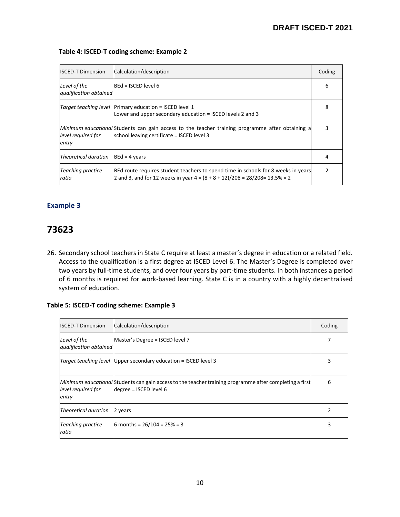$\overline{1}$  , and the set of  $\overline{1}$ 

| <b>ISCED-T Dimension</b>               | Calculation/description                                                                                                                                             | Coding |
|----------------------------------------|---------------------------------------------------------------------------------------------------------------------------------------------------------------------|--------|
| Level of the<br>qualification obtained | $BEd = ISCED$ level 6                                                                                                                                               | 6      |
| Target teaching level                  | Primary education = ISCED level 1<br>Lower and upper secondary education = ISCED levels 2 and 3                                                                     | 8      |
| level required for<br>entry            | Minimum educational Students can gain access to the teacher training programme after obtaining a<br>school leaving certificate = ISCED level 3                      | 3      |
| Theoretical duration                   | $BEd = 4$ years                                                                                                                                                     | 4      |
| <b>Teaching practice</b><br>ratio      | BEd route requires student teachers to spend time in schools for 8 weeks in years<br>2 and 3, and for 12 weeks in year $4 = (8 + 8 + 12)/208 = 28/208 = 13.5\% = 2$ | 2      |

#### **Table 4: ISCED-T coding scheme: Example 2**

#### <span id="page-9-0"></span>**Example 3**

# **73623**

26. Secondary school teachers in State C require at least a master's degree in education or a related field. Access to the qualification is a first degree at ISCED Level 6. The Master's Degree is completed over two years by full-time students, and over four years by part-time students. In both instances a period of 6 months is required for work-based learning. State C is in a country with a highly decentralised system of education.

#### **Table 5: ISCED-T coding scheme: Example 3**

| <b>ISCED-T Dimension</b>               | Calculation/description                                                                                                           | Coding |
|----------------------------------------|-----------------------------------------------------------------------------------------------------------------------------------|--------|
| Level of the<br>qualification obtained | Master's Degree = ISCED level 7                                                                                                   |        |
|                                        | Target teaching level Upper secondary education = ISCED level 3                                                                   |        |
| level required for<br>entry            | Minimum educational Students can gain access to the teacher training programme after completing a first<br>degree = ISCED level 6 | 6      |
| Theoretical duration                   | 2 years                                                                                                                           | 2      |
| <b>Teaching practice</b><br>ratio      | 6 months = $26/104 = 25% = 3$                                                                                                     | 3      |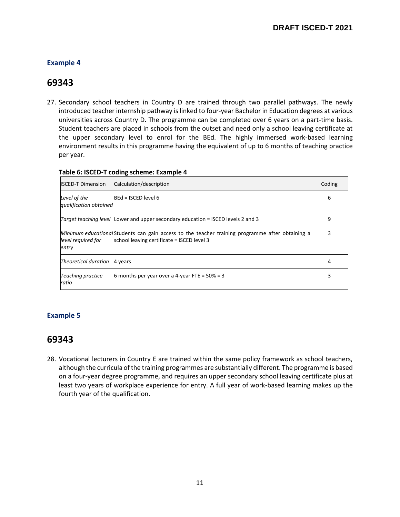$\overline{\phantom{0}}$ 

## <span id="page-10-0"></span>**Example 4**

# **69343**

27. Secondary school teachers in Country D are trained through two parallel pathways. The newly introduced teacher internship pathway is linked to four-year Bachelor in Education degrees at various universities across Country D. The programme can be completed over 6 years on a part-time basis. Student teachers are placed in schools from the outset and need only a school leaving certificate at the upper secondary level to enrol for the BEd. The highly immersed work-based learning environment results in this programme having the equivalent of up to 6 months of teaching practice per year.

| <b>ISCED-T Dimension</b>               | Calculation/description                                                                                                                        | Coding |
|----------------------------------------|------------------------------------------------------------------------------------------------------------------------------------------------|--------|
| Level of the<br>qualification obtained | $BEd = ISCED$ level 6                                                                                                                          | 6      |
|                                        | <i>Target teaching level</i> Lower and upper secondary education = ISCED levels 2 and 3                                                        | 9      |
| level reguired for<br>entry            | Minimum educational Students can gain access to the teacher training programme after obtaining a<br>school leaving certificate = ISCED level 3 | 3      |
| Theoretical duration                   | 4 years                                                                                                                                        | 4      |
| Teaching practice<br>ratio             | 6 months per year over a 4-year FTE = $50\%$ = 3                                                                                               |        |

## **Table 6: ISCED-T coding scheme: Example 4**

### <span id="page-10-1"></span>**Example 5**

## **69343**

28. Vocational lecturers in Country E are trained within the same policy framework as school teachers, although the curricula of the training programmes are substantially different. The programme is based on a four-year degree programme, and requires an upper secondary school leaving certificate plus at least two years of workplace experience for entry. A full year of work-based learning makes up the fourth year of the qualification.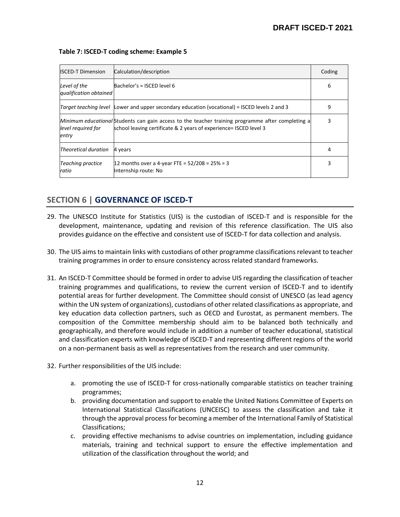| <b>ISCED-T Dimension</b>               | Calculation/description                                                                                                                                                | Coding |
|----------------------------------------|------------------------------------------------------------------------------------------------------------------------------------------------------------------------|--------|
| Level of the<br>qualification obtained | Bachelor's = ISCED level 6                                                                                                                                             | 6      |
| Target teaching level                  | Lower and upper secondary education (vocational) = ISCED levels 2 and 3                                                                                                | 9      |
| level required for<br>entry            | Minimum educational Students can gain access to the teacher training programme after completing a<br>school leaving certificate & 2 years of experience= ISCED level 3 | 3      |
| Theoretical duration                   | 4 years                                                                                                                                                                | 4      |
| <b>Teaching practice</b><br>ratio      | 12 months over a 4-year FTE = $52/208 = 25% = 3$<br>Internship route: No                                                                                               | 3      |

#### **Table 7: ISCED-T coding scheme: Example 5**

## <span id="page-11-0"></span>**SECTION 6 | GOVERNANCE OF ISCED-T**

- 29. The UNESCO Institute for Statistics (UIS) is the custodian of ISCED-T and is responsible for the development, maintenance, updating and revision of this reference classification. The UIS also provides guidance on the effective and consistent use of ISCED-T for data collection and analysis.
- 30. The UIS aims to maintain links with custodians of other programme classifications relevant to teacher training programmes in order to ensure consistency across related standard frameworks.
- 31. An ISCED-T Committee should be formed in order to advise UIS regarding the classification of teacher training programmes and qualifications, to review the current version of ISCED-T and to identify potential areas for further development. The Committee should consist of UNESCO (as lead agency within the UN system of organizations), custodians of other related classifications as appropriate, and key education data collection partners, such as OECD and Eurostat, as permanent members. The composition of the Committee membership should aim to be balanced both technically and geographically, and therefore would include in addition a number of teacher educational, statistical and classification experts with knowledge of ISCED-T and representing different regions of the world on a non-permanent basis as well as representatives from the research and user community.
- 32. Further responsibilities of the UIS include:
	- a. promoting the use of ISCED-T for cross-nationally comparable statistics on teacher training programmes;
	- b. providing documentation and support to enable the United Nations Committee of Experts on International Statistical Classifications (UNCEISC) to assess the classification and take it through the approval process for becoming a member of the International Family of Statistical Classifications;
	- c. providing effective mechanisms to advise countries on implementation, including guidance materials, training and technical support to ensure the effective implementation and utilization of the classification throughout the world; and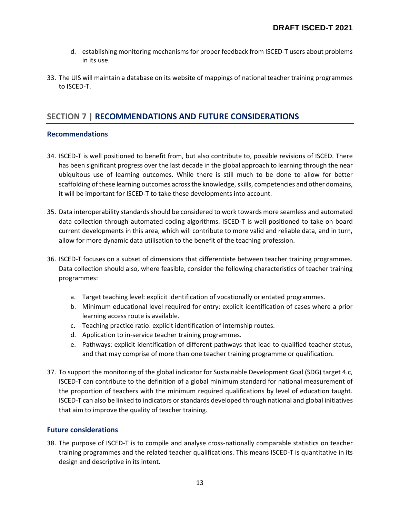- d. establishing monitoring mechanisms for proper feedback from ISCED-T users about problems in its use.
- 33. The UIS will maintain a database on its website of mappings of national teacher training programmes to ISCED-T.

## <span id="page-12-0"></span>**SECTION 7 | RECOMMENDATIONS AND FUTURE CONSIDERATIONS**

#### <span id="page-12-1"></span>**Recommendations**

- 34. ISCED-T is well positioned to benefit from, but also contribute to, possible revisions of ISCED. There has been significant progress over the last decade in the global approach to learning through the near ubiquitous use of learning outcomes. While there is still much to be done to allow for better scaffolding of these learning outcomes across the knowledge, skills, competencies and other domains, it will be important for ISCED-T to take these developments into account.
- 35. Data interoperability standards should be considered to work towards more seamless and automated data collection through automated coding algorithms. ISCED-T is well positioned to take on board current developments in this area, which will contribute to more valid and reliable data, and in turn, allow for more dynamic data utilisation to the benefit of the teaching profession.
- 36. ISCED-T focuses on a subset of dimensions that differentiate between teacher training programmes. Data collection should also, where feasible, consider the following characteristics of teacher training programmes:
	- a. Target teaching level: explicit identification of vocationally orientated programmes.
	- b. Minimum educational level required for entry: explicit identification of cases where a prior learning access route is available.
	- c. Teaching practice ratio: explicit identification of internship routes.
	- d. Application to in-service teacher training programmes.
	- e. Pathways: explicit identification of different pathways that lead to qualified teacher status, and that may comprise of more than one teacher training programme or qualification.
- 37. To support the monitoring of the global indicator for Sustainable Development Goal (SDG) target 4.c, ISCED-T can contribute to the definition of a global minimum standard for national measurement of the proportion of teachers with the minimum required qualifications by level of education taught. ISCED-T can also be linked to indicators or standards developed through national and global initiatives that aim to improve the quality of teacher training.

#### <span id="page-12-2"></span>**Future considerations**

38. The purpose of ISCED-T is to compile and analyse cross-nationally comparable statistics on teacher training programmes and the related teacher qualifications. This means ISCED-T is quantitative in its design and descriptive in its intent.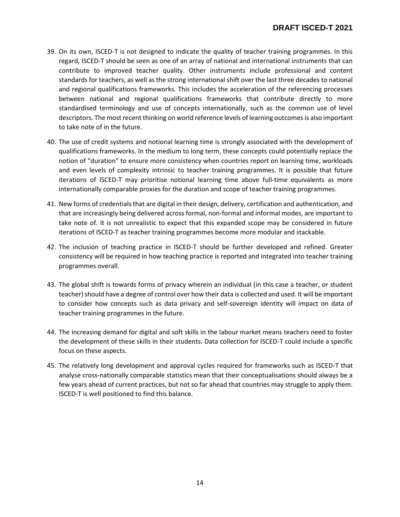- 39. On its own, ISCED-T is not designed to indicate the quality of teacher training programmes. In this regard, ISCED-T should be seen as one of an array of national and international instruments that can contribute to improved teacher quality. Other instruments include professional and content standards for teachers, as well as the strong international shift over the last three decades to national and regional qualifications frameworks. This includes the acceleration of the referencing processes between national and regional qualifications frameworks that contribute directly to more standardised terminology and use of concepts internationally, such as the common use of level descriptors. The most recent thinking on world reference levels of learning outcomes is also important to take note of in the future.
- 40. The use of credit systems and notional learning time is strongly associated with the development of qualifications frameworks. In the medium to long term, these concepts could potentially replace the notion of "duration" to ensure more consistency when countries report on learning time, workloads and even levels of complexity intrinsic to teacher training programmes. It is possible that future iterations of ISCED-T may prioritise notional learning time above full-time equivalents as more internationally comparable proxies for the duration and scope of teacher training programmes.
- 41. New forms of credentials that are digital in their design, delivery, certification and authentication, and that are increasingly being delivered across formal, non-formal and informal modes, are important to take note of. It is not unrealistic to expect that this expanded scope may be considered in future iterations of ISCED-T as teacher training programmes become more modular and stackable.
- 42. The inclusion of teaching practice in ISCED-T should be further developed and refined. Greater consistency will be required in how teaching practice is reported and integrated into teacher training programmes overall.
- 43. The global shift is towards forms of privacy wherein an individual (in this case a teacher, or student teacher) should have a degree of control over how their data is collected and used. It will be important to consider how concepts such as data privacy and self-sovereign identity will impact on data of teacher training programmes in the future.
- 44. The increasing demand for digital and soft skills in the labour market means teachers need to foster the development of these skills in their students. Data collection for ISCED-T could include a specific focus on these aspects.
- 45. The relatively long development and approval cycles required for frameworks such as ISCED-T that analyse cross-nationally comparable statistics mean that their conceptualisations should always be a few years ahead of current practices, but not so far ahead that countries may struggle to apply them. ISCED-T is well positioned to find this balance.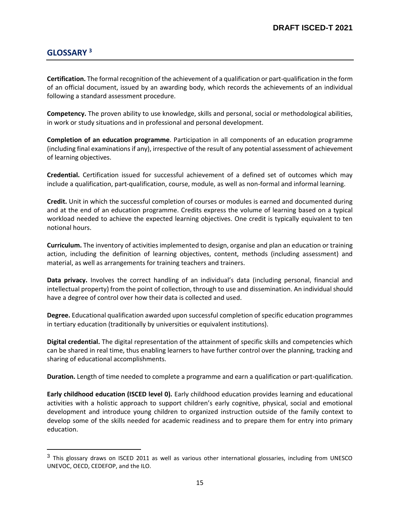## <span id="page-14-0"></span>**GLOSSARY <sup>3</sup>**

 $\overline{a}$ 

**Certification.** The formal recognition of the achievement of a qualification or part-qualification in the form of an official document, issued by an awarding body, which records the achievements of an individual following a standard assessment procedure.

**Competency.** The proven ability to use knowledge, skills and personal, social or methodological abilities, in work or study situations and in professional and personal development.

**Completion of an education programme**. Participation in all components of an education programme (including final examinations if any), irrespective of the result of any potential assessment of achievement of learning objectives.

**Credential.** Certification issued for successful achievement of a defined set of outcomes which may include a qualification, part-qualification, course, module, as well as non-formal and informal learning.

**Credit.** Unit in which the successful completion of courses or modules is earned and documented during and at the end of an education programme. Credits express the volume of learning based on a typical workload needed to achieve the expected learning objectives. One credit is typically equivalent to ten notional hours.

**Curriculum.** The inventory of activities implemented to design, organise and plan an education or training action, including the definition of learning objectives, content, methods (including assessment) and material, as well as arrangements for training teachers and trainers.

**Data privacy.** Involves the correct handling of an individual's data (including personal, financial and intellectual property) from the point of collection, through to use and dissemination. An individual should have a degree of control over how their data is collected and used.

**Degree.** Educational qualification awarded upon successful completion of specific education programmes in tertiary education (traditionally by universities or equivalent institutions).

**Digital credential.** The digital representation of the attainment of specific skills and competencies which can be shared in real time, thus enabling learners to have further control over the planning, tracking and sharing of educational accomplishments.

**Duration.** Length of time needed to complete a programme and earn a qualification or part-qualification.

**Early childhood education (ISCED level 0).** Early childhood education provides learning and educational activities with a holistic approach to support children's early cognitive, physical, social and emotional development and introduce young children to organized instruction outside of the family context to develop some of the skills needed for academic readiness and to prepare them for entry into primary education.

 $^3$  This glossary draws on ISCED 2011 as well as various other international glossaries, including from UNESCO UNEVOC, OECD, CEDEFOP, and the ILO.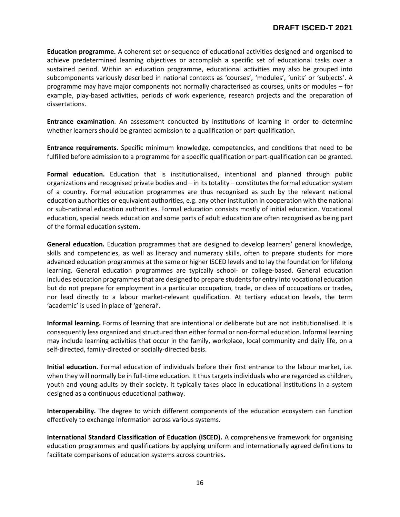**Education programme.** A coherent set or sequence of educational activities designed and organised to achieve predetermined learning objectives or accomplish a specific set of educational tasks over a sustained period. Within an education programme, educational activities may also be grouped into subcomponents variously described in national contexts as 'courses', 'modules', 'units' or 'subjects'. A programme may have major components not normally characterised as courses, units or modules – for example, play-based activities, periods of work experience, research projects and the preparation of dissertations.

**Entrance examination**. An assessment conducted by institutions of learning in order to determine whether learners should be granted admission to a qualification or part-qualification.

**Entrance requirements**. Specific minimum knowledge, competencies, and conditions that need to be fulfilled before admission to a programme for a specific qualification or part-qualification can be granted.

**Formal education.** Education that is institutionalised, intentional and planned through public organizations and recognised private bodies and – in its totality – constitutes the formal education system of a country. Formal education programmes are thus recognised as such by the relevant national education authorities or equivalent authorities, e.g. any other institution in cooperation with the national or sub-national education authorities. Formal education consists mostly of initial education. Vocational education, special needs education and some parts of adult education are often recognised as being part of the formal education system.

**General education.** Education programmes that are designed to develop learners' general knowledge, skills and competencies, as well as literacy and numeracy skills, often to prepare students for more advanced education programmes at the same or higher ISCED levels and to lay the foundation for lifelong learning. General education programmes are typically school- or college-based. General education includes education programmes that are designed to prepare students for entry into vocational education but do not prepare for employment in a particular occupation, trade, or class of occupations or trades, nor lead directly to a labour market-relevant qualification. At tertiary education levels, the term 'academic' is used in place of 'general'.

**Informal learning.** Forms of learning that are intentional or deliberate but are not institutionalised. It is consequently less organized and structured than either formal or non-formal education. Informal learning may include learning activities that occur in the family, workplace, local community and daily life, on a self-directed, family-directed or socially-directed basis.

**Initial education.** Formal education of individuals before their first entrance to the labour market, i.e. when they will normally be in full-time education. It thus targets individuals who are regarded as children, youth and young adults by their society. It typically takes place in educational institutions in a system designed as a continuous educational pathway.

**Interoperability.** The degree to which different components of the education ecosystem can function effectively to exchange information across various systems.

**International Standard Classification of Education (ISCED).** A comprehensive framework for organising education programmes and qualifications by applying uniform and internationally agreed definitions to facilitate comparisons of education systems across countries.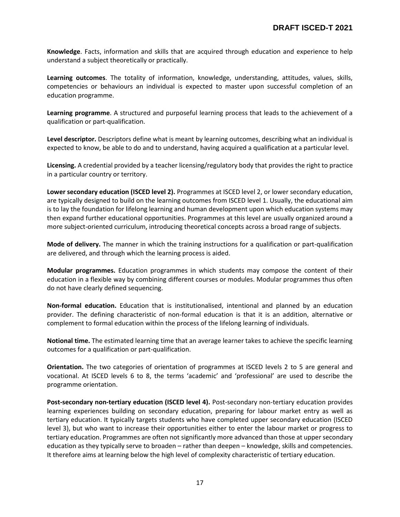**Knowledge**. Facts, information and skills that are acquired through education and experience to help understand a subject theoretically or practically.

**Learning outcomes**. The totality of information, knowledge, understanding, attitudes, values, skills, competencies or behaviours an individual is expected to master upon successful completion of an education programme.

**Learning programme**. A structured and purposeful learning process that leads to the achievement of a qualification or part-qualification.

**Level descriptor.** Descriptors define what is meant by learning outcomes, describing what an individual is expected to know, be able to do and to understand, having acquired a qualification at a particular level.

**Licensing.** A credential provided by a teacher licensing/regulatory body that provides the right to practice in a particular country or territory.

**Lower secondary education (ISCED level 2).** Programmes at ISCED level 2, or lower secondary education, are typically designed to build on the learning outcomes from ISCED level 1. Usually, the educational aim is to lay the foundation for lifelong learning and human development upon which education systems may then expand further educational opportunities. Programmes at this level are usually organized around a more subject-oriented curriculum, introducing theoretical concepts across a broad range of subjects.

**Mode of delivery.** The manner in which the training instructions for a qualification or part-qualification are delivered, and through which the learning process is aided.

**Modular programmes.** Education programmes in which students may compose the content of their education in a flexible way by combining different courses or modules. Modular programmes thus often do not have clearly defined sequencing.

**Non-formal education.** Education that is institutionalised, intentional and planned by an education provider. The defining characteristic of non-formal education is that it is an addition, alternative or complement to formal education within the process of the lifelong learning of individuals.

**Notional time.** The estimated learning time that an average learner takes to achieve the specific learning outcomes for a qualification or part-qualification.

**Orientation.** The two categories of orientation of programmes at ISCED levels 2 to 5 are general and vocational. At ISCED levels 6 to 8, the terms 'academic' and 'professional' are used to describe the programme orientation.

**Post-secondary non-tertiary education (ISCED level 4).** Post-secondary non-tertiary education provides learning experiences building on secondary education, preparing for labour market entry as well as tertiary education. It typically targets students who have completed upper secondary education (ISCED level 3), but who want to increase their opportunities either to enter the labour market or progress to tertiary education. Programmes are often not significantly more advanced than those at upper secondary education as they typically serve to broaden – rather than deepen – knowledge, skills and competencies. It therefore aims at learning below the high level of complexity characteristic of tertiary education.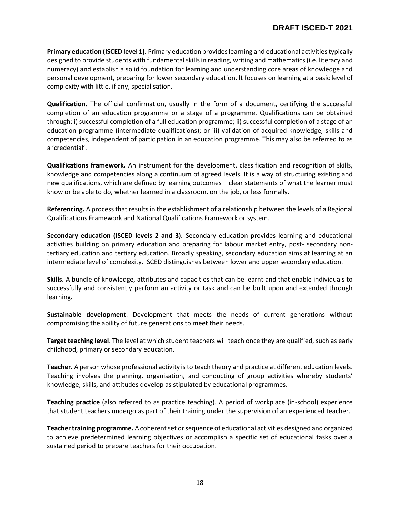**Primary education (ISCED level 1).** Primary education provides learning and educational activities typically designed to provide students with fundamental skills in reading, writing and mathematics (i.e. literacy and numeracy) and establish a solid foundation for learning and understanding core areas of knowledge and personal development, preparing for lower secondary education. It focuses on learning at a basic level of complexity with little, if any, specialisation.

**Qualification.** The official confirmation, usually in the form of a document, certifying the successful completion of an education programme or a stage of a programme. Qualifications can be obtained through: i) successful completion of a full education programme; ii) successful completion of a stage of an education programme (intermediate qualifications); or iii) validation of acquired knowledge, skills and competencies, independent of participation in an education programme. This may also be referred to as a 'credential'.

**Qualifications framework.** An instrument for the development, classification and recognition of skills, knowledge and competencies along a continuum of agreed levels. It is a way of structuring existing and new qualifications, which are defined by learning outcomes – clear statements of what the learner must know or be able to do, whether learned in a classroom, on the job, or less formally.

**Referencing.** A process that results in the establishment of a relationship between the levels of a Regional Qualifications Framework and National Qualifications Framework or system.

**Secondary education (ISCED levels 2 and 3).** Secondary education provides learning and educational activities building on primary education and preparing for labour market entry, post- secondary nontertiary education and tertiary education. Broadly speaking, secondary education aims at learning at an intermediate level of complexity. ISCED distinguishes between lower and upper secondary education.

**Skills.** A bundle of knowledge, attributes and capacities that can be learnt and that enable individuals to successfully and consistently perform an activity or task and can be built upon and extended through learning.

**Sustainable development**. Development that meets the needs of current generations without compromising the ability of future generations to meet their needs.

**Target teaching level**. The level at which student teachers will teach once they are qualified, such as early childhood, primary or secondary education.

**Teacher.** A person whose professional activity is to teach theory and practice at different education levels. Teaching involves the planning, organisation, and conducting of group activities whereby students' knowledge, skills, and attitudes develop as stipulated by educational programmes.

**Teaching practice** (also referred to as practice teaching). A period of workplace (in-school) experience that student teachers undergo as part of their training under the supervision of an experienced teacher.

**Teacher training programme.** A coherent set or sequence of educational activities designed and organized to achieve predetermined learning objectives or accomplish a specific set of educational tasks over a sustained period to prepare teachers for their occupation.